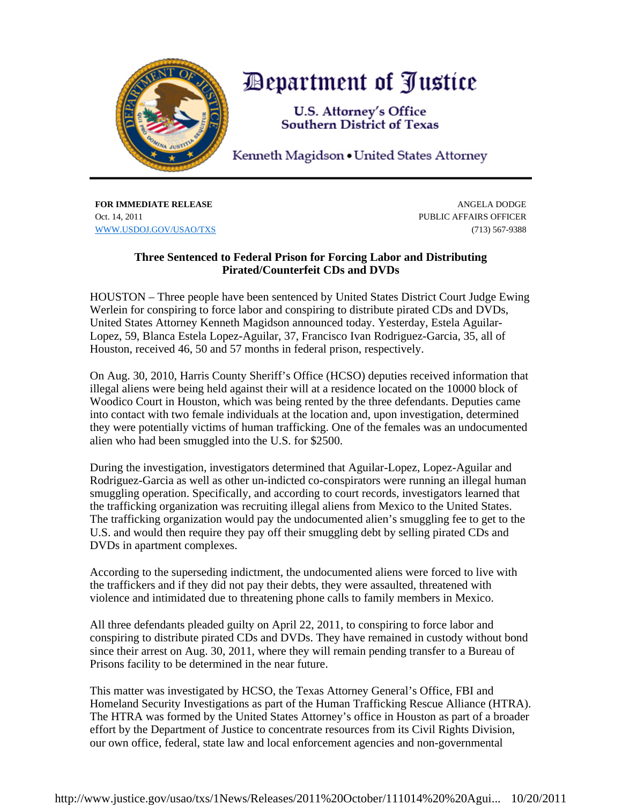

## *Department of Justice*

**U.S. Attorney's Office Southern District of Texas** 

Kenneth Magidson • United States Attorney

**FOR IMMEDIATE RELEASE** ANGELA DODGE Oct. 14, 2011 **PUBLIC AFFAIRS OFFICER** WWW.USDOJ.GOV/USAO/TXS (713) 567-9388

## **Three Sentenced to Federal Prison for Forcing Labor and Distributing Pirated/Counterfeit CDs and DVDs**

HOUSTON – Three people have been sentenced by United States District Court Judge Ewing Werlein for conspiring to force labor and conspiring to distribute pirated CDs and DVDs, United States Attorney Kenneth Magidson announced today. Yesterday, Estela Aguilar-Lopez, 59, Blanca Estela Lopez-Aguilar, 37, Francisco Ivan Rodriguez-Garcia, 35, all of Houston, received 46, 50 and 57 months in federal prison, respectively.

On Aug. 30, 2010, Harris County Sheriff's Office (HCSO) deputies received information that illegal aliens were being held against their will at a residence located on the 10000 block of Woodico Court in Houston, which was being rented by the three defendants. Deputies came into contact with two female individuals at the location and, upon investigation, determined they were potentially victims of human trafficking. One of the females was an undocumented alien who had been smuggled into the U.S. for \$2500.

During the investigation, investigators determined that Aguilar-Lopez, Lopez-Aguilar and Rodriguez-Garcia as well as other un-indicted co-conspirators were running an illegal human smuggling operation. Specifically, and according to court records, investigators learned that the trafficking organization was recruiting illegal aliens from Mexico to the United States. The trafficking organization would pay the undocumented alien's smuggling fee to get to the U.S. and would then require they pay off their smuggling debt by selling pirated CDs and DVDs in apartment complexes.

According to the superseding indictment, the undocumented aliens were forced to live with the traffickers and if they did not pay their debts, they were assaulted, threatened with violence and intimidated due to threatening phone calls to family members in Mexico.

All three defendants pleaded guilty on April 22, 2011, to conspiring to force labor and conspiring to distribute pirated CDs and DVDs. They have remained in custody without bond since their arrest on Aug. 30, 2011, where they will remain pending transfer to a Bureau of Prisons facility to be determined in the near future.

This matter was investigated by HCSO, the Texas Attorney General's Office, FBI and Homeland Security Investigations as part of the Human Trafficking Rescue Alliance (HTRA). The HTRA was formed by the United States Attorney's office in Houston as part of a broader effort by the Department of Justice to concentrate resources from its Civil Rights Division, our own office, federal, state law and local enforcement agencies and non-governmental